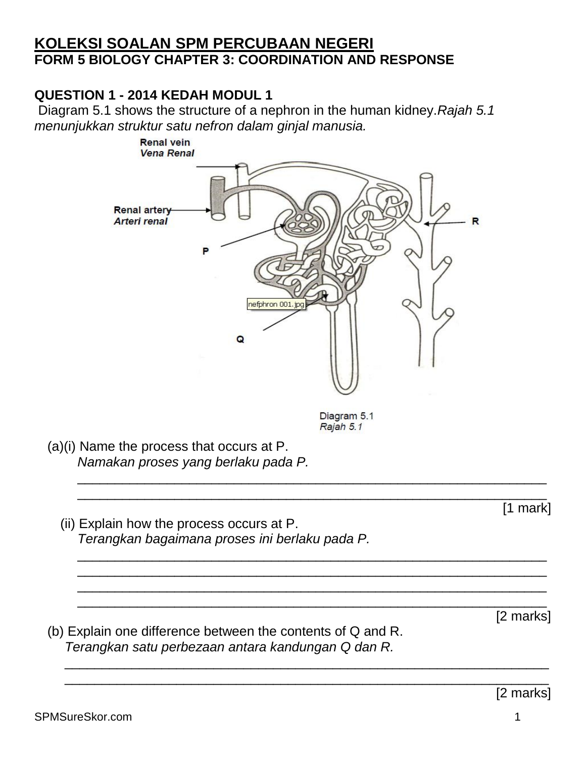### **KOLEKSI SOALAN SPM PERCUBAAN NEGERI FORM 5 BIOLOGY CHAPTER 3: COORDINATION AND RESPONSE**

## **QUESTION 1 - 2014 KEDAH MODUL 1**

Diagram 5.1 shows the structure of a nephron in the human kidney.*Rajah 5.1 menunjukkan struktur satu nefron dalam ginjal manusia.*



Diagram 5.1 Rajah 5.1

\_\_\_\_\_\_\_\_\_\_\_\_\_\_\_\_\_\_\_\_\_\_\_\_\_\_\_\_\_\_\_\_\_\_\_\_\_\_\_\_\_\_\_\_\_\_\_\_\_\_\_\_\_\_\_\_\_\_\_\_\_\_\_ \_\_\_\_\_\_\_\_\_\_\_\_\_\_\_\_\_\_\_\_\_\_\_\_\_\_\_\_\_\_\_\_\_\_\_\_\_\_\_\_\_\_\_\_\_\_\_\_\_\_\_\_\_\_\_\_\_\_\_\_\_\_\_

\_\_\_\_\_\_\_\_\_\_\_\_\_\_\_\_\_\_\_\_\_\_\_\_\_\_\_\_\_\_\_\_\_\_\_\_\_\_\_\_\_\_\_\_\_\_\_\_\_\_\_\_\_\_\_\_\_\_\_\_\_\_\_ \_\_\_\_\_\_\_\_\_\_\_\_\_\_\_\_\_\_\_\_\_\_\_\_\_\_\_\_\_\_\_\_\_\_\_\_\_\_\_\_\_\_\_\_\_\_\_\_\_\_\_\_\_\_\_\_\_\_\_\_\_\_\_ \_\_\_\_\_\_\_\_\_\_\_\_\_\_\_\_\_\_\_\_\_\_\_\_\_\_\_\_\_\_\_\_\_\_\_\_\_\_\_\_\_\_\_\_\_\_\_\_\_\_\_\_\_\_\_\_\_\_\_\_\_\_\_ \_\_\_\_\_\_\_\_\_\_\_\_\_\_\_\_\_\_\_\_\_\_\_\_\_\_\_\_\_\_\_\_\_\_\_\_\_\_\_\_\_\_\_\_\_\_\_\_\_\_\_\_\_\_\_\_\_\_\_\_\_\_\_

\_\_\_\_\_\_\_\_\_\_\_\_\_\_\_\_\_\_\_\_\_\_\_\_\_\_\_\_\_\_\_\_\_\_\_\_\_\_\_\_\_\_\_\_\_\_\_\_\_\_\_\_\_\_\_\_\_\_\_\_\_\_\_\_\_ \_\_\_\_\_\_\_\_\_\_\_\_\_\_\_\_\_\_\_\_\_\_\_\_\_\_\_\_\_\_\_\_\_\_\_\_\_\_\_\_\_\_\_\_\_\_\_\_\_\_\_\_\_\_\_\_\_\_\_\_\_\_\_\_\_

(a)(i) Name the process that occurs at P. *Namakan proses yang berlaku pada P.*

(ii) Explain how the process occurs at P. *Terangkan bagaimana proses ini berlaku pada P.*

[2 marks]

[1 mark]

(b) Explain one difference between the contents of Q and R. *Terangkan satu perbezaan antara kandungan Q dan R.*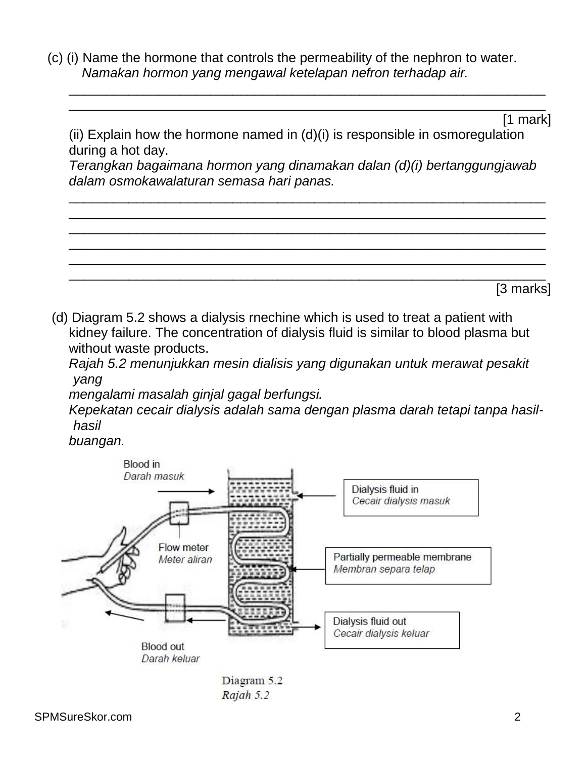(c) (i) Name the hormone that controls the permeability of the nephron to water. *Namakan hormon yang mengawal ketelapan nefron terhadap air.*

[1 mark]

(ii) Explain how the hormone named in (d)(i) is responsible in osmoregulation during a hot day.

\_\_\_\_\_\_\_\_\_\_\_\_\_\_\_\_\_\_\_\_\_\_\_\_\_\_\_\_\_\_\_\_\_\_\_\_\_\_\_\_\_\_\_\_\_\_\_\_\_\_\_\_\_\_\_\_\_\_\_\_\_\_\_\_ \_\_\_\_\_\_\_\_\_\_\_\_\_\_\_\_\_\_\_\_\_\_\_\_\_\_\_\_\_\_\_\_\_\_\_\_\_\_\_\_\_\_\_\_\_\_\_\_\_\_\_\_\_\_\_\_\_\_\_\_\_\_\_\_

*Terangkan bagaimana hormon yang dinamakan dalan (d)(i) bertanggungjawab dalam osmokawalaturan semasa hari panas.*

\_\_\_\_\_\_\_\_\_\_\_\_\_\_\_\_\_\_\_\_\_\_\_\_\_\_\_\_\_\_\_\_\_\_\_\_\_\_\_\_\_\_\_\_\_\_\_\_\_\_\_\_\_\_\_\_\_\_\_\_\_\_\_\_

\_\_\_\_\_\_\_\_\_\_\_\_\_\_\_\_\_\_\_\_\_\_\_\_\_\_\_\_\_\_\_\_\_\_\_\_\_\_\_\_\_\_\_\_\_\_\_\_\_\_\_\_\_\_\_\_\_\_\_\_\_\_\_\_ \_\_\_\_\_\_\_\_\_\_\_\_\_\_\_\_\_\_\_\_\_\_\_\_\_\_\_\_\_\_\_\_\_\_\_\_\_\_\_\_\_\_\_\_\_\_\_\_\_\_\_\_\_\_\_\_\_\_\_\_\_\_\_\_ \_\_\_\_\_\_\_\_\_\_\_\_\_\_\_\_\_\_\_\_\_\_\_\_\_\_\_\_\_\_\_\_\_\_\_\_\_\_\_\_\_\_\_\_\_\_\_\_\_\_\_\_\_\_\_\_\_\_\_\_\_\_\_\_ \_\_\_\_\_\_\_\_\_\_\_\_\_\_\_\_\_\_\_\_\_\_\_\_\_\_\_\_\_\_\_\_\_\_\_\_\_\_\_\_\_\_\_\_\_\_\_\_\_\_\_\_\_\_\_\_\_\_\_\_\_\_\_\_ \_\_\_\_\_\_\_\_\_\_\_\_\_\_\_\_\_\_\_\_\_\_\_\_\_\_\_\_\_\_\_\_\_\_\_\_\_\_\_\_\_\_\_\_\_\_\_\_\_\_\_\_\_\_\_\_\_\_\_\_\_\_\_\_ [3 marks]

(d) Diagram 5.2 shows a dialysis rnechine which is used to treat a patient with kidney failure. The concentration of dialysis fluid is similar to blood plasma but without waste products.

*Rajah 5.2 menunjukkan mesin dialisis yang digunakan untuk merawat pesakit yang*

*mengalami masalah ginjal gagal berfungsi.*

*Kepekatan cecair dialysis adalah sama dengan plasma darah tetapi tanpa hasilhasil*

*buangan.*

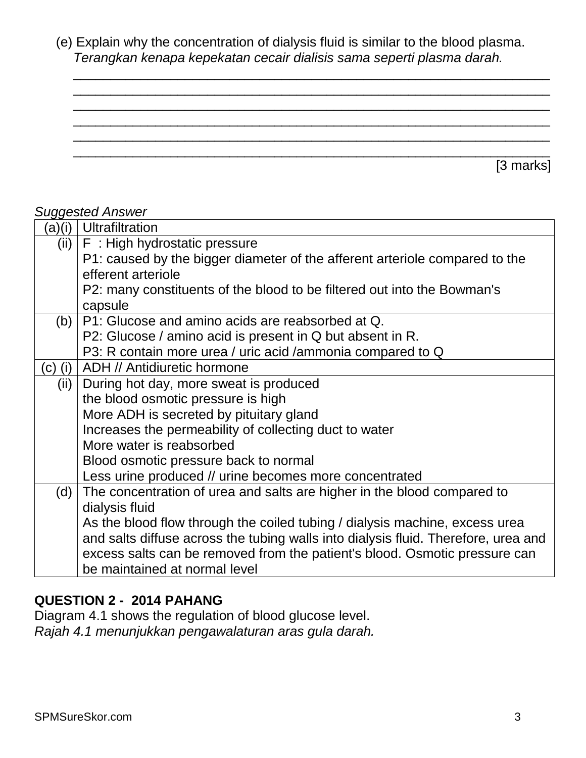(e) Explain why the concentration of dialysis fluid is similar to the blood plasma. *Terangkan kenapa kepekatan cecair dialisis sama seperti plasma darah.*

\_\_\_\_\_\_\_\_\_\_\_\_\_\_\_\_\_\_\_\_\_\_\_\_\_\_\_\_\_\_\_\_\_\_\_\_\_\_\_\_\_\_\_\_\_\_\_\_\_\_\_\_\_\_\_\_\_\_\_\_\_\_\_\_ \_\_\_\_\_\_\_\_\_\_\_\_\_\_\_\_\_\_\_\_\_\_\_\_\_\_\_\_\_\_\_\_\_\_\_\_\_\_\_\_\_\_\_\_\_\_\_\_\_\_\_\_\_\_\_\_\_\_\_\_\_\_\_\_ \_\_\_\_\_\_\_\_\_\_\_\_\_\_\_\_\_\_\_\_\_\_\_\_\_\_\_\_\_\_\_\_\_\_\_\_\_\_\_\_\_\_\_\_\_\_\_\_\_\_\_\_\_\_\_\_\_\_\_\_\_\_\_\_ \_\_\_\_\_\_\_\_\_\_\_\_\_\_\_\_\_\_\_\_\_\_\_\_\_\_\_\_\_\_\_\_\_\_\_\_\_\_\_\_\_\_\_\_\_\_\_\_\_\_\_\_\_\_\_\_\_\_\_\_\_\_\_\_ \_\_\_\_\_\_\_\_\_\_\_\_\_\_\_\_\_\_\_\_\_\_\_\_\_\_\_\_\_\_\_\_\_\_\_\_\_\_\_\_\_\_\_\_\_\_\_\_\_\_\_\_\_\_\_\_\_\_\_\_\_\_\_\_ \_\_\_\_\_\_\_\_\_\_\_\_\_\_\_\_\_\_\_\_\_\_\_\_\_\_\_\_\_\_\_\_\_\_\_\_\_\_\_\_\_\_\_\_\_\_\_\_\_\_\_\_\_\_\_\_\_\_\_\_\_\_\_\_

[3 marks]

#### *Suggested Answer*

| (a)(i)  | <b>Ultrafiltration</b>                                                             |
|---------|------------------------------------------------------------------------------------|
| (ii)    | F: High hydrostatic pressure                                                       |
|         | P1: caused by the bigger diameter of the afferent arteriole compared to the        |
|         | efferent arteriole                                                                 |
|         | P2: many constituents of the blood to be filtered out into the Bowman's            |
|         | capsule                                                                            |
| (b)     | P1: Glucose and amino acids are reabsorbed at Q.                                   |
|         | P2: Glucose / amino acid is present in Q but absent in R.                          |
|         | P3: R contain more urea / uric acid / ammonia compared to Q                        |
| (c) (i) | ADH // Antidiuretic hormone                                                        |
| (ii)    | During hot day, more sweat is produced                                             |
|         | the blood osmotic pressure is high                                                 |
|         | More ADH is secreted by pituitary gland                                            |
|         | Increases the permeability of collecting duct to water                             |
|         | More water is reabsorbed                                                           |
|         | Blood osmotic pressure back to normal                                              |
|         | Less urine produced // urine becomes more concentrated                             |
| (d)     | The concentration of urea and salts are higher in the blood compared to            |
|         | dialysis fluid                                                                     |
|         | As the blood flow through the coiled tubing / dialysis machine, excess urea        |
|         | and salts diffuse across the tubing walls into dialysis fluid. Therefore, urea and |
|         | excess salts can be removed from the patient's blood. Osmotic pressure can         |
|         | be maintained at normal level                                                      |

#### **QUESTION 2 - 2014 PAHANG**

Diagram 4.1 shows the regulation of blood glucose level. *Rajah 4.1 menunjukkan pengawalaturan aras gula darah.*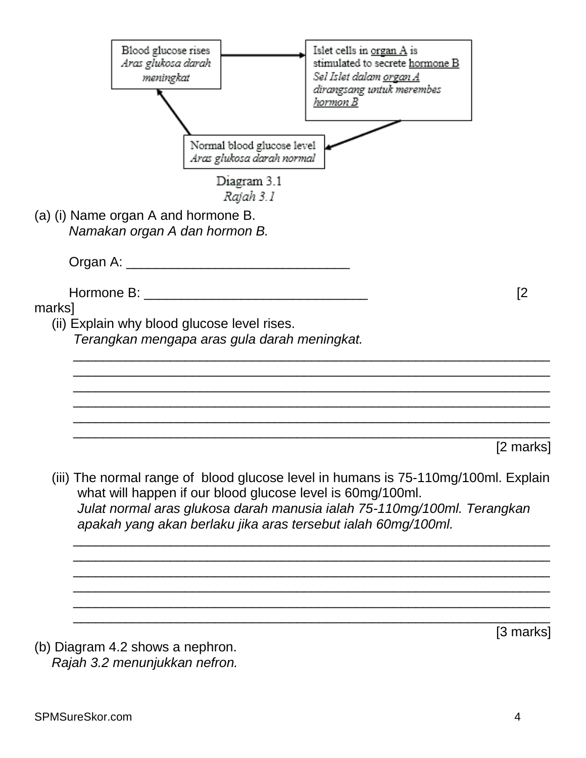

SPMSureSkor.com 4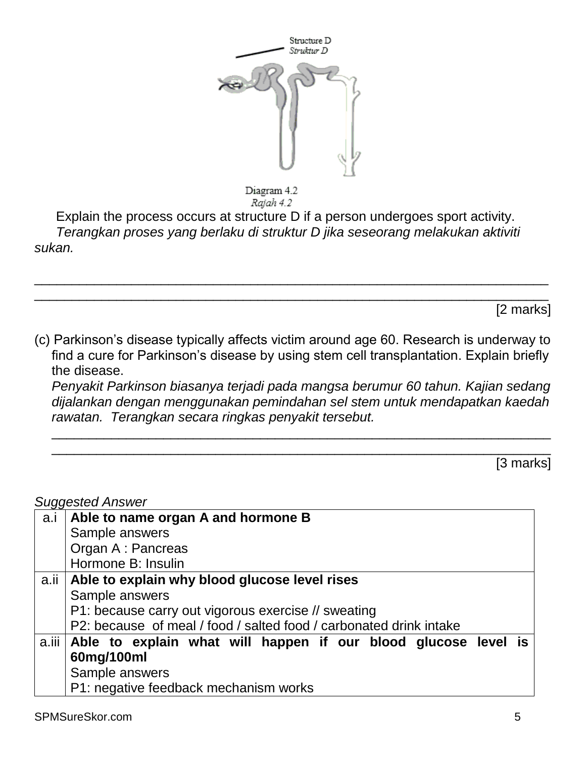

Diagram 4.2 Rajah 4.2

Explain the process occurs at structure D if a person undergoes sport activity. *Terangkan proses yang berlaku di struktur D jika seseorang melakukan aktiviti sukan.*

[2 marks]

(c) Parkinson's disease typically affects victim around age 60. Research is underway to find a cure for Parkinson's disease by using stem cell transplantation. Explain briefly the disease.

\_\_\_\_\_\_\_\_\_\_\_\_\_\_\_\_\_\_\_\_\_\_\_\_\_\_\_\_\_\_\_\_\_\_\_\_\_\_\_\_\_\_\_\_\_\_\_\_\_\_\_\_\_\_\_\_\_\_\_\_\_\_\_\_\_\_\_\_\_ \_\_\_\_\_\_\_\_\_\_\_\_\_\_\_\_\_\_\_\_\_\_\_\_\_\_\_\_\_\_\_\_\_\_\_\_\_\_\_\_\_\_\_\_\_\_\_\_\_\_\_\_\_\_\_\_\_\_\_\_\_\_\_\_\_\_\_\_\_

*Penyakit Parkinson biasanya terjadi pada mangsa berumur 60 tahun. Kajian sedang dijalankan dengan menggunakan pemindahan sel stem untuk mendapatkan kaedah rawatan. Terangkan secara ringkas penyakit tersebut.*

\_\_\_\_\_\_\_\_\_\_\_\_\_\_\_\_\_\_\_\_\_\_\_\_\_\_\_\_\_\_\_\_\_\_\_\_\_\_\_\_\_\_\_\_\_\_\_\_\_\_\_\_\_\_\_\_\_\_\_\_\_\_\_\_\_\_\_ \_\_\_\_\_\_\_\_\_\_\_\_\_\_\_\_\_\_\_\_\_\_\_\_\_\_\_\_\_\_\_\_\_\_\_\_\_\_\_\_\_\_\_\_\_\_\_\_\_\_\_\_\_\_\_\_\_\_\_\_\_\_\_\_\_\_\_

[3 marks]

| $\tilde{ }$<br>a.i | Able to name organ A and hormone B                                   |
|--------------------|----------------------------------------------------------------------|
|                    | Sample answers                                                       |
|                    | Organ A: Pancreas                                                    |
|                    | Hormone B: Insulin                                                   |
|                    | a.ii   Able to explain why blood glucose level rises                 |
|                    | Sample answers                                                       |
|                    | P1: because carry out vigorous exercise // sweating                  |
|                    | P2: because of meal / food / salted food / carbonated drink intake   |
|                    | a.iii Able to explain what will happen if our blood glucose level is |
|                    | 60mg/100ml                                                           |
|                    | Sample answers                                                       |
|                    | P1: negative feedback mechanism works                                |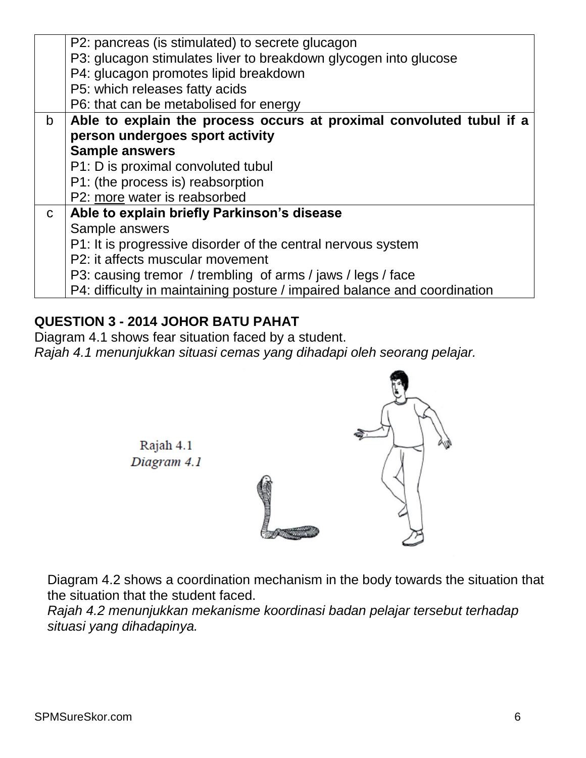|              | P2: pancreas (is stimulated) to secrete glucagon                          |
|--------------|---------------------------------------------------------------------------|
|              | P3: glucagon stimulates liver to breakdown glycogen into glucose          |
|              | P4: glucagon promotes lipid breakdown                                     |
|              | P5: which releases fatty acids                                            |
|              | P6: that can be metabolised for energy                                    |
| b.           | Able to explain the process occurs at proximal convoluted tubul if a      |
|              | person undergoes sport activity                                           |
|              | <b>Sample answers</b>                                                     |
|              | P1: D is proximal convoluted tubul                                        |
|              | P1: (the process is) reabsorption                                         |
|              | P2: more water is reabsorbed                                              |
| $\mathsf{C}$ | Able to explain briefly Parkinson's disease                               |
|              | Sample answers                                                            |
|              | P1: It is progressive disorder of the central nervous system              |
|              | P2: it affects muscular movement                                          |
|              | P3: causing tremor / trembling of arms / jaws / legs / face               |
|              | P4: difficulty in maintaining posture / impaired balance and coordination |

### **QUESTION 3 - 2014 JOHOR BATU PAHAT**

Rajah 4.1 Diagram 4.1

Diagram 4.1 shows fear situation faced by a student. *Rajah 4.1 menunjukkan situasi cemas yang dihadapi oleh seorang pelajar.*

Diagram 4.2 shows a coordination mechanism in the body towards the situation that the situation that the student faced.

*Rajah 4.2 menunjukkan mekanisme koordinasi badan pelajar tersebut terhadap situasi yang dihadapinya.*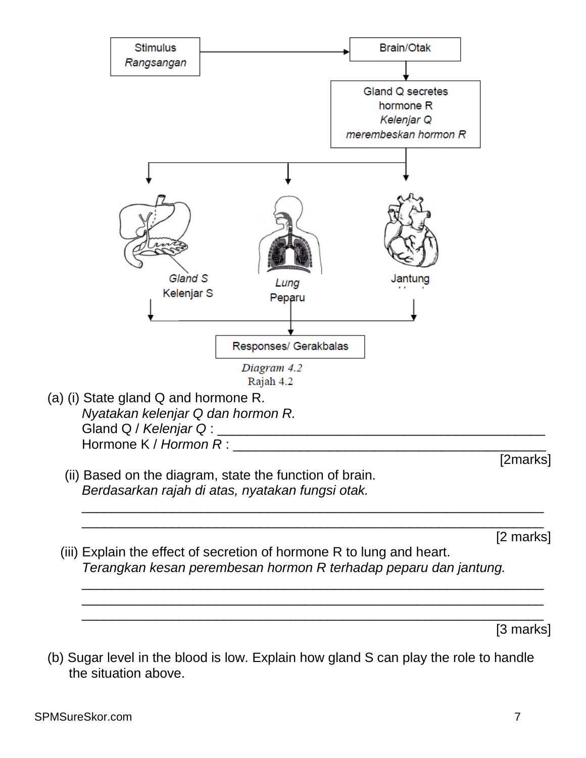

(b) Sugar level in the blood is low. Explain how gland S can play the role to handle the situation above.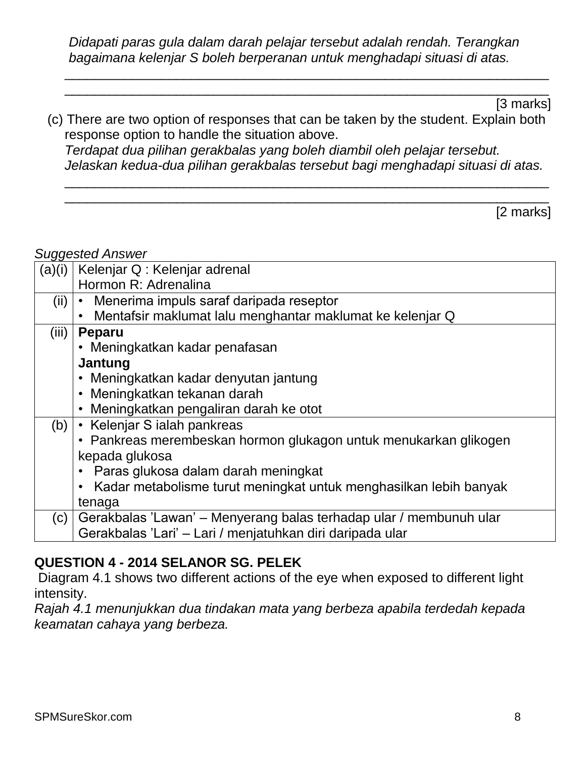*Didapati paras gula dalam darah pelajar tersebut adalah rendah. Terangkan bagaimana kelenjar S boleh berperanan untuk menghadapi situasi di atas.*

\_\_\_\_\_\_\_\_\_\_\_\_\_\_\_\_\_\_\_\_\_\_\_\_\_\_\_\_\_\_\_\_\_\_\_\_\_\_\_\_\_\_\_\_\_\_\_\_\_\_\_\_\_\_\_\_\_\_\_\_\_\_\_\_\_ \_\_\_\_\_\_\_\_\_\_\_\_\_\_\_\_\_\_\_\_\_\_\_\_\_\_\_\_\_\_\_\_\_\_\_\_\_\_\_\_\_\_\_\_\_\_\_\_\_\_\_\_\_\_\_\_\_\_\_\_\_\_\_\_\_

[3 marks]

(c) There are two option of responses that can be taken by the student. Explain both response option to handle the situation above. *Terdapat dua pilihan gerakbalas yang boleh diambil oleh pelajar tersebut. Jelaskan kedua-dua pilihan gerakbalas tersebut bagi menghadapi situasi di atas.*

\_\_\_\_\_\_\_\_\_\_\_\_\_\_\_\_\_\_\_\_\_\_\_\_\_\_\_\_\_\_\_\_\_\_\_\_\_\_\_\_\_\_\_\_\_\_\_\_\_\_\_\_\_\_\_\_\_\_\_\_\_\_\_\_\_ \_\_\_\_\_\_\_\_\_\_\_\_\_\_\_\_\_\_\_\_\_\_\_\_\_\_\_\_\_\_\_\_\_\_\_\_\_\_\_\_\_\_\_\_\_\_\_\_\_\_\_\_\_\_\_\_\_\_\_\_\_\_\_\_\_

[2 marks]

#### *Suggested Answer*

| (a)(i) | Kelenjar Q: Kelenjar adrenal                                       |
|--------|--------------------------------------------------------------------|
|        | Hormon R: Adrenalina                                               |
| (iii)  | • Menerima impuls saraf daripada reseptor                          |
|        | Mentafsir maklumat lalu menghantar maklumat ke kelenjar Q          |
| (iii)  | <b>Peparu</b>                                                      |
|        | • Meningkatkan kadar penafasan                                     |
|        | Jantung                                                            |
|        | • Meningkatkan kadar denyutan jantung                              |
|        | • Meningkatkan tekanan darah                                       |
|        | • Meningkatkan pengaliran darah ke otot                            |
| (b)    | • Kelenjar S ialah pankreas                                        |
|        | • Pankreas merembeskan hormon glukagon untuk menukarkan glikogen   |
|        | kepada glukosa                                                     |
|        | Paras glukosa dalam darah meningkat                                |
|        | Kadar metabolisme turut meningkat untuk menghasilkan lebih banyak  |
|        | tenaga                                                             |
| (c)    | Gerakbalas 'Lawan' – Menyerang balas terhadap ular / membunuh ular |
|        | Gerakbalas 'Lari' - Lari / menjatuhkan diri daripada ular          |

### **QUESTION 4 - 2014 SELANOR SG. PELEK**

Diagram 4.1 shows two different actions of the eye when exposed to different light intensity.

*Rajah 4.1 menunjukkan dua tindakan mata yang berbeza apabila terdedah kepada keamatan cahaya yang berbeza.*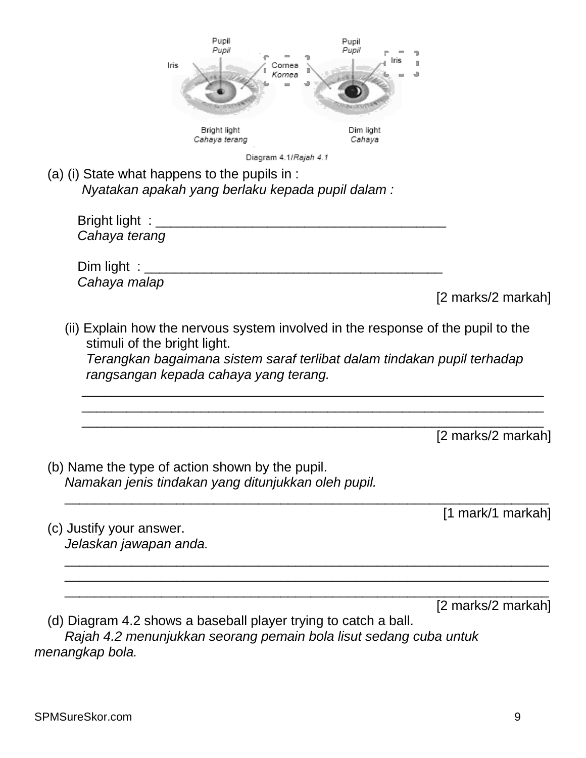|                                                                 | Pupil<br>Iris<br>;ornea                                                                                | Pupil<br>Puoli      |                    |
|-----------------------------------------------------------------|--------------------------------------------------------------------------------------------------------|---------------------|--------------------|
|                                                                 | Kornea                                                                                                 |                     |                    |
|                                                                 | Bright light<br>Cahaya terang                                                                          | Dim light<br>Cahaya |                    |
|                                                                 | Diagram 4.1/Rajah 4.1                                                                                  |                     |                    |
|                                                                 | (a) (i) State what happens to the pupils in :<br>Nyatakan apakah yang berlaku kepada pupil dalam:      |                     |                    |
| Bright light : ______<br>Cahaya terang                          |                                                                                                        |                     |                    |
| Dim light $\equiv$<br>Cahaya malap                              |                                                                                                        |                     |                    |
|                                                                 |                                                                                                        |                     | [2 marks/2 markah] |
|                                                                 | rangsangan kepada cahaya yang terang.                                                                  |                     |                    |
|                                                                 |                                                                                                        |                     | [2 marks/2 markah] |
|                                                                 | (b) Name the type of action shown by the pupil.<br>Namakan jenis tindakan yang ditunjukkan oleh pupil. |                     |                    |
|                                                                 |                                                                                                        |                     | [1 mark/1 markah]  |
| (c) Justify your answer.<br>Jelaskan jawapan anda.              |                                                                                                        |                     |                    |
|                                                                 |                                                                                                        |                     |                    |
| (d) Diagram 4.2 shows a baseball player trying to catch a ball. |                                                                                                        |                     | [2 marks/2 markah] |

*menangkap bola.*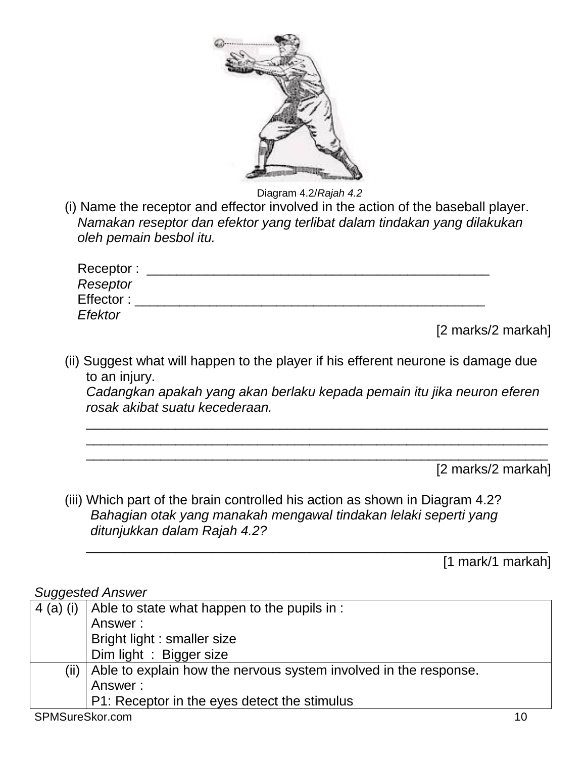

Diagram 4.2/*Rajah 4.2*

(i) Name the receptor and effector involved in the action of the baseball player. *Namakan reseptor dan efektor yang terlibat dalam tindakan yang dilakukan oleh pemain besbol itu.*

| Receptor: |  |
|-----------|--|
| Reseptor  |  |
| Effector: |  |
| Efektor   |  |

[2 marks/2 markah]

(ii) Suggest what will happen to the player if his efferent neurone is damage due to an injury.

*Cadangkan apakah yang akan berlaku kepada pemain itu jika neuron eferen rosak akibat suatu kecederaan.*

\_\_\_\_\_\_\_\_\_\_\_\_\_\_\_\_\_\_\_\_\_\_\_\_\_\_\_\_\_\_\_\_\_\_\_\_\_\_\_\_\_\_\_\_\_\_\_\_\_\_\_\_\_\_\_\_\_\_\_\_\_\_ \_\_\_\_\_\_\_\_\_\_\_\_\_\_\_\_\_\_\_\_\_\_\_\_\_\_\_\_\_\_\_\_\_\_\_\_\_\_\_\_\_\_\_\_\_\_\_\_\_\_\_\_\_\_\_\_\_\_\_\_\_\_ \_\_\_\_\_\_\_\_\_\_\_\_\_\_\_\_\_\_\_\_\_\_\_\_\_\_\_\_\_\_\_\_\_\_\_\_\_\_\_\_\_\_\_\_\_\_\_\_\_\_\_\_\_\_\_\_\_\_\_\_\_\_

\_\_\_\_\_\_\_\_\_\_\_\_\_\_\_\_\_\_\_\_\_\_\_\_\_\_\_\_\_\_\_\_\_\_\_\_\_\_\_\_\_\_\_\_\_\_\_\_\_\_\_\_\_\_\_\_\_\_\_\_\_\_

[2 marks/2 markah]

(iii) Which part of the brain controlled his action as shown in Diagram 4.2? *Bahagian otak yang manakah mengawal tindakan lelaki seperti yang ditunjukkan dalam Rajah 4.2?*

[1 mark/1 markah]

| ◡               |                                                                  |  |
|-----------------|------------------------------------------------------------------|--|
| $4$ (a) (i)     | Able to state what happen to the pupils in :                     |  |
|                 | Answer:                                                          |  |
|                 | Bright light : smaller size                                      |  |
|                 | Dim light: Bigger size                                           |  |
| (ii)            | Able to explain how the nervous system involved in the response. |  |
|                 | Answer:                                                          |  |
|                 | P1: Receptor in the eyes detect the stimulus                     |  |
| SPMSureSkor.com |                                                                  |  |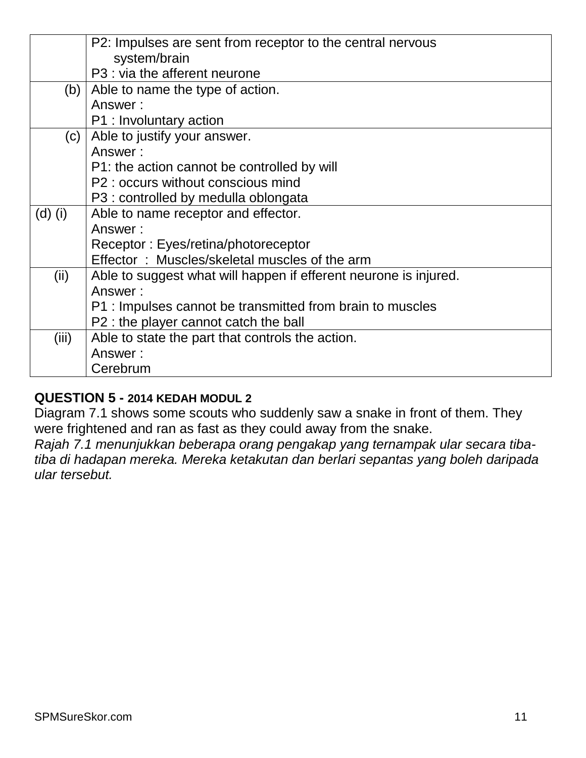|           | P2: Impulses are sent from receptor to the central nervous       |
|-----------|------------------------------------------------------------------|
|           | system/brain                                                     |
|           | P3 : via the afferent neurone                                    |
| (b)       | Able to name the type of action.                                 |
|           | Answer:                                                          |
|           | P1 : Involuntary action                                          |
| (c)       | Able to justify your answer.                                     |
|           | Answer:                                                          |
|           | P1: the action cannot be controlled by will                      |
|           | P2 : occurs without conscious mind                               |
|           | P3 : controlled by medulla oblongata                             |
| $(d)$ (i) | Able to name receptor and effector.                              |
|           | Answer:                                                          |
|           | Receptor: Eyes/retina/photoreceptor                              |
|           | Effector: Muscles/skeletal muscles of the arm                    |
| (ii)      | Able to suggest what will happen if efferent neurone is injured. |
|           | Answer:                                                          |
|           | P1 : Impulses cannot be transmitted from brain to muscles        |
|           | P2 : the player cannot catch the ball                            |
| (iii)     | Able to state the part that controls the action.                 |
|           | Answer:                                                          |
|           | Cerebrum                                                         |

#### **QUESTION 5 - 2014 KEDAH MODUL 2**

Diagram 7.1 shows some scouts who suddenly saw a snake in front of them. They were frightened and ran as fast as they could away from the snake.

*Rajah 7.1 menunjukkan beberapa orang pengakap yang ternampak ular secara tibatiba di hadapan mereka. Mereka ketakutan dan berlari sepantas yang boleh daripada ular tersebut.*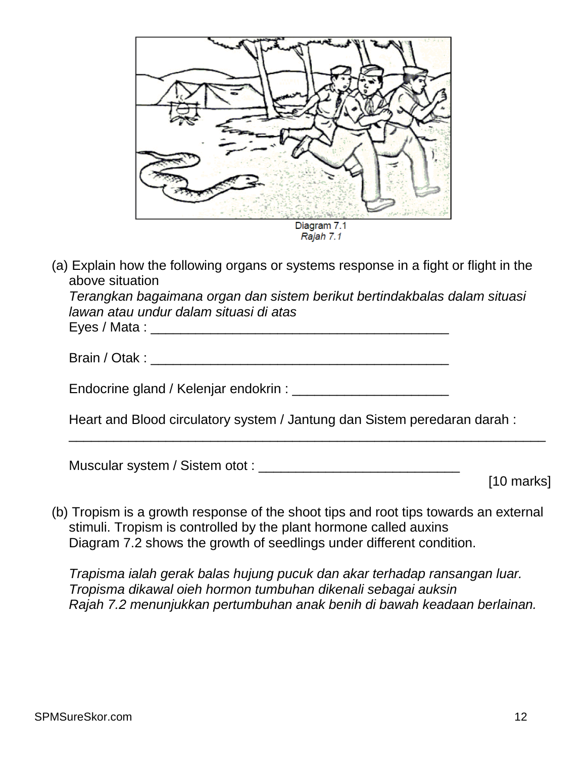

(a) Explain how the following organs or systems response in a fight or flight in the above situation

*Terangkan bagaimana organ dan sistem berikut bertindakbalas dalam situasi lawan atau undur dalam situasi di atas*

Eyes / Mata : \_\_\_\_\_\_\_\_\_\_\_\_\_\_\_\_\_\_\_\_\_\_\_\_\_\_\_\_\_\_\_\_\_\_\_\_\_\_\_\_

| Brain / Otak |
|--------------|
|              |

Endocrine gland / Kelenjar endokrin : \_\_\_\_\_\_\_\_\_\_\_\_\_\_\_\_\_\_\_\_\_

Heart and Blood circulatory system / Jantung dan Sistem peredaran darah :

\_\_\_\_\_\_\_\_\_\_\_\_\_\_\_\_\_\_\_\_\_\_\_\_\_\_\_\_\_\_\_\_\_\_\_\_\_\_\_\_\_\_\_\_\_\_\_\_\_\_\_\_\_\_\_\_\_\_\_\_\_\_\_\_

Muscular system / Sistem otot : \_\_\_\_\_\_\_\_\_\_\_\_\_\_\_\_\_\_\_\_\_\_\_\_\_\_\_

[10 marks]

(b) Tropism is a growth response of the shoot tips and root tips towards an external stimuli. Tropism is controlled by the plant hormone called auxins Diagram 7.2 shows the growth of seedlings under different condition.

*Trapisma ialah gerak balas hujung pucuk dan akar terhadap ransangan luar. Tropisma dikawal oieh hormon tumbuhan dikenali sebagai auksin Rajah 7.2 menunjukkan pertumbuhan anak benih di bawah keadaan berlainan.*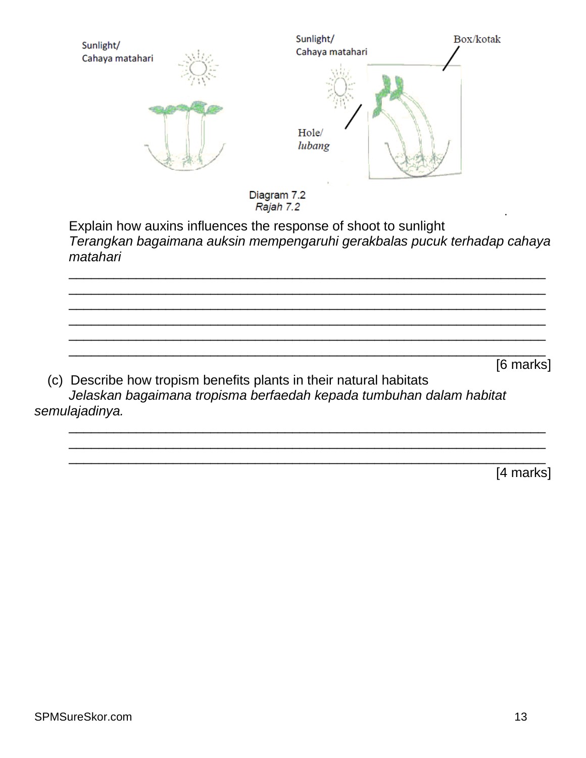| Sunlight/<br>Cahaya matahari | Sunlight/<br>Cahaya matahari | Box/kotak |
|------------------------------|------------------------------|-----------|
|                              | Hole/<br>lubang              |           |
|                              | Diagram 7.2<br>Rajah 7.2     | $\bullet$ |

Explain how auxins influences the response of shoot to sunlight *Terangkan bagaimana auksin mempengaruhi gerakbalas pucuk terhadap cahaya matahari*

\_\_\_\_\_\_\_\_\_\_\_\_\_\_\_\_\_\_\_\_\_\_\_\_\_\_\_\_\_\_\_\_\_\_\_\_\_\_\_\_\_\_\_\_\_\_\_\_\_\_\_\_\_\_\_\_\_\_\_\_\_\_\_\_ \_\_\_\_\_\_\_\_\_\_\_\_\_\_\_\_\_\_\_\_\_\_\_\_\_\_\_\_\_\_\_\_\_\_\_\_\_\_\_\_\_\_\_\_\_\_\_\_\_\_\_\_\_\_\_\_\_\_\_\_\_\_\_\_ \_\_\_\_\_\_\_\_\_\_\_\_\_\_\_\_\_\_\_\_\_\_\_\_\_\_\_\_\_\_\_\_\_\_\_\_\_\_\_\_\_\_\_\_\_\_\_\_\_\_\_\_\_\_\_\_\_\_\_\_\_\_\_\_ \_\_\_\_\_\_\_\_\_\_\_\_\_\_\_\_\_\_\_\_\_\_\_\_\_\_\_\_\_\_\_\_\_\_\_\_\_\_\_\_\_\_\_\_\_\_\_\_\_\_\_\_\_\_\_\_\_\_\_\_\_\_\_\_ \_\_\_\_\_\_\_\_\_\_\_\_\_\_\_\_\_\_\_\_\_\_\_\_\_\_\_\_\_\_\_\_\_\_\_\_\_\_\_\_\_\_\_\_\_\_\_\_\_\_\_\_\_\_\_\_\_\_\_\_\_\_\_\_ \_\_\_\_\_\_\_\_\_\_\_\_\_\_\_\_\_\_\_\_\_\_\_\_\_\_\_\_\_\_\_\_\_\_\_\_\_\_\_\_\_\_\_\_\_\_\_\_\_\_\_\_\_\_\_\_\_\_\_\_\_\_\_\_

\_\_\_\_\_\_\_\_\_\_\_\_\_\_\_\_\_\_\_\_\_\_\_\_\_\_\_\_\_\_\_\_\_\_\_\_\_\_\_\_\_\_\_\_\_\_\_\_\_\_\_\_\_\_\_\_\_\_\_\_\_\_\_\_ \_\_\_\_\_\_\_\_\_\_\_\_\_\_\_\_\_\_\_\_\_\_\_\_\_\_\_\_\_\_\_\_\_\_\_\_\_\_\_\_\_\_\_\_\_\_\_\_\_\_\_\_\_\_\_\_\_\_\_\_\_\_\_\_ \_\_\_\_\_\_\_\_\_\_\_\_\_\_\_\_\_\_\_\_\_\_\_\_\_\_\_\_\_\_\_\_\_\_\_\_\_\_\_\_\_\_\_\_\_\_\_\_\_\_\_\_\_\_\_\_\_\_\_\_\_\_\_\_

[6 marks]

(c) Describe how tropism benefits plants in their natural habitats *Jelaskan bagaimana tropisma berfaedah kepada tumbuhan dalam habitat semulajadinya.*

[4 marks]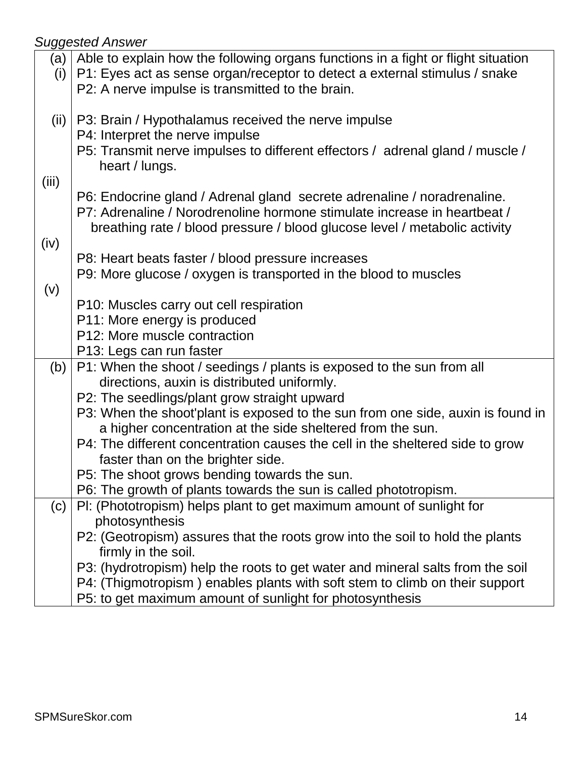| (a)  <br>(i) | Able to explain how the following organs functions in a fight or flight situation<br>P1: Eyes act as sense organ/receptor to detect a external stimulus / snake |
|--------------|-----------------------------------------------------------------------------------------------------------------------------------------------------------------|
|              | P2: A nerve impulse is transmitted to the brain.                                                                                                                |
| (ii)         | P3: Brain / Hypothalamus received the nerve impulse<br>P4: Interpret the nerve impulse                                                                          |
|              | P5: Transmit nerve impulses to different effectors / adrenal gland / muscle /<br>heart / lungs.                                                                 |
| (iii)        |                                                                                                                                                                 |
|              | P6: Endocrine gland / Adrenal gland secrete adrenaline / noradrenaline.<br>P7: Adrenaline / Norodrenoline hormone stimulate increase in heartbeat /             |
| (iv)         | breathing rate / blood pressure / blood glucose level / metabolic activity                                                                                      |
|              | P8: Heart beats faster / blood pressure increases                                                                                                               |
|              | P9: More glucose / oxygen is transported in the blood to muscles                                                                                                |
| (v)          |                                                                                                                                                                 |
|              | P10: Muscles carry out cell respiration                                                                                                                         |
|              | P11: More energy is produced<br>P12: More muscle contraction                                                                                                    |
|              | P13: Legs can run faster                                                                                                                                        |
| (b)          | P1: When the shoot / seedings / plants is exposed to the sun from all                                                                                           |
|              | directions, auxin is distributed uniformly.                                                                                                                     |
|              | P2: The seedlings/plant grow straight upward                                                                                                                    |
|              | P3: When the shoot'plant is exposed to the sun from one side, auxin is found in                                                                                 |
|              | a higher concentration at the side sheltered from the sun.                                                                                                      |
|              | P4: The different concentration causes the cell in the sheltered side to grow                                                                                   |
|              | faster than on the brighter side.                                                                                                                               |
|              | P5: The shoot grows bending towards the sun.<br>P6: The growth of plants towards the sun is called phototropism.                                                |
| (c)          | PI: (Phototropism) helps plant to get maximum amount of sunlight for                                                                                            |
|              | photosynthesis                                                                                                                                                  |
|              | P2: (Geotropism) assures that the roots grow into the soil to hold the plants                                                                                   |
|              | firmly in the soil.                                                                                                                                             |
|              | P3: (hydrotropism) help the roots to get water and mineral salts from the soil                                                                                  |
|              | P4: (Thigmotropism) enables plants with soft stem to climb on their support                                                                                     |
|              | P5: to get maximum amount of sunlight for photosynthesis                                                                                                        |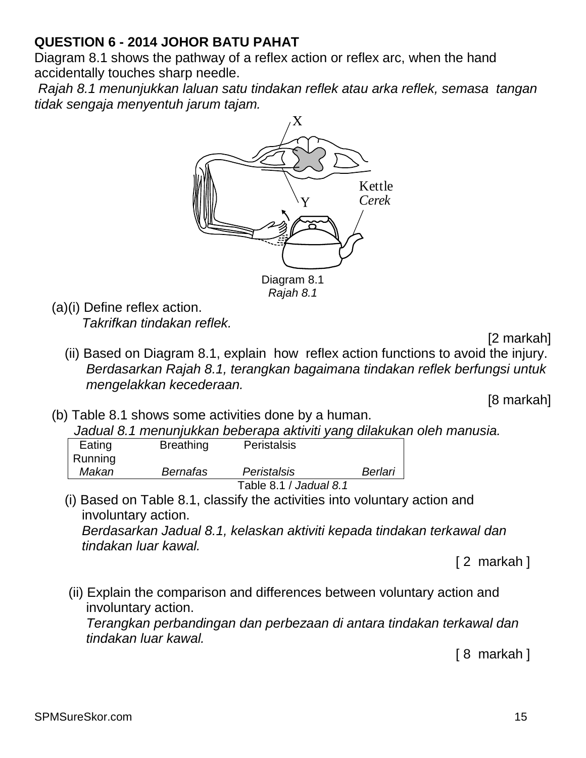# **QUESTION 6 - 2014 JOHOR BATU PAHAT**

Diagram 8.1 shows the pathway of a reflex action or reflex arc, when the hand accidentally touches sharp needle.

*Rajah 8.1 menunjukkan laluan satu tindakan reflek atau arka reflek, semasa tangan tidak sengaja menyentuh jarum tajam.*



*Rajah 8.1*

(a)(i) Define reflex action. *Takrifkan tindakan reflek.*

[2 markah]

(ii) Based on Diagram 8.1, explain how reflex action functions to avoid the injury. *Berdasarkan Rajah 8.1, terangkan bagaimana tindakan reflek berfungsi untuk mengelakkan kecederaan.*

[8 markah]

(b) Table 8.1 shows some activities done by a human.

 *Jadual 8.1 menunjukkan beberapa aktiviti yang dilakukan oleh manusia.*

| Eating  | <b>Breathing</b> | <b>Peristalsis</b>     |         |
|---------|------------------|------------------------|---------|
| Running |                  |                        |         |
| Makan   | <b>Bernafas</b>  | Peristalsis            | Berlari |
|         |                  | Table 8.1 / Jadual 8.1 |         |

(i) Based on Table 8.1, classify the activities into voluntary action and involuntary action.

*Berdasarkan Jadual 8.1, kelaskan aktiviti kepada tindakan terkawal dan tindakan luar kawal.*

[ 2 markah ]

(ii) Explain the comparison and differences between voluntary action and involuntary action.

*Terangkan perbandingan dan perbezaan di antara tindakan terkawal dan tindakan luar kawal.*

[ 8 markah ]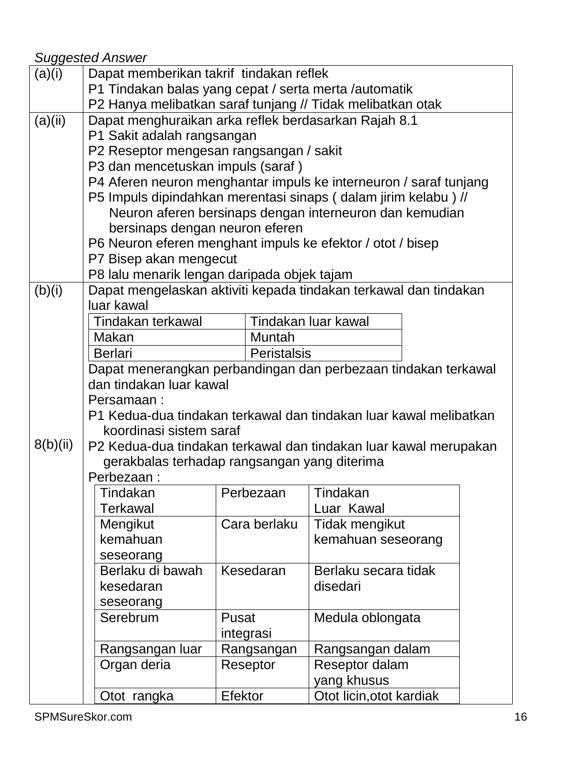| (a)(i)   | Dapat memberikan takrif tindakan reflek                           |                    |           |                          |  |  |  |
|----------|-------------------------------------------------------------------|--------------------|-----------|--------------------------|--|--|--|
|          | P1 Tindakan balas yang cepat / serta merta /automatik             |                    |           |                          |  |  |  |
|          | P2 Hanya melibatkan saraf tunjang // Tidak melibatkan otak        |                    |           |                          |  |  |  |
| (a)(ii)  | Dapat menghuraikan arka reflek berdasarkan Rajah 8.1              |                    |           |                          |  |  |  |
|          | P1 Sakit adalah rangsangan                                        |                    |           |                          |  |  |  |
|          | P2 Reseptor mengesan rangsangan / sakit                           |                    |           |                          |  |  |  |
|          | P3 dan mencetuskan impuls (saraf)                                 |                    |           |                          |  |  |  |
|          | P4 Aferen neuron menghantar impuls ke interneuron / saraf tunjang |                    |           |                          |  |  |  |
|          | P5 Impuls dipindahkan merentasi sinaps (dalam jirim kelabu) //    |                    |           |                          |  |  |  |
|          | Neuron aferen bersinaps dengan interneuron dan kemudian           |                    |           |                          |  |  |  |
|          | bersinaps dengan neuron eferen                                    |                    |           |                          |  |  |  |
|          | P6 Neuron eferen menghant impuls ke efektor / otot / bisep        |                    |           |                          |  |  |  |
|          | P7 Bisep akan mengecut                                            |                    |           |                          |  |  |  |
|          | P8 lalu menarik lengan daripada objek tajam                       |                    |           |                          |  |  |  |
| (b)(i)   | Dapat mengelaskan aktiviti kepada tindakan terkawal dan tindakan  |                    |           |                          |  |  |  |
|          | luar kawal                                                        |                    |           |                          |  |  |  |
|          | Tindakan terkawal                                                 |                    |           | Tindakan luar kawal      |  |  |  |
|          | Makan                                                             |                    | Muntah    |                          |  |  |  |
|          | <b>Berlari</b><br><b>Peristalsis</b>                              |                    |           |                          |  |  |  |
|          | Dapat menerangkan perbandingan dan perbezaan tindakan terkawal    |                    |           |                          |  |  |  |
|          | dan tindakan luar kawal                                           |                    |           |                          |  |  |  |
|          | Persamaan:                                                        |                    |           |                          |  |  |  |
|          | P1 Kedua-dua tindakan terkawal dan tindakan luar kawal melibatkan |                    |           |                          |  |  |  |
|          | koordinasi sistem saraf                                           |                    |           |                          |  |  |  |
| 8(b)(ii) | P2 Kedua-dua tindakan terkawal dan tindakan luar kawal merupakan  |                    |           |                          |  |  |  |
|          | gerakbalas terhadap rangsangan yang diterima<br>Perbezaan:        |                    |           |                          |  |  |  |
|          |                                                                   |                    |           |                          |  |  |  |
|          | Tindakan                                                          |                    | Perbezaan | Tindakan                 |  |  |  |
|          | <b>Terkawal</b>                                                   |                    |           | Luar Kawal               |  |  |  |
|          | Mengikut                                                          | Cara berlaku       |           | Tidak mengikut           |  |  |  |
|          | kemahuan                                                          |                    |           | kemahuan seseorang       |  |  |  |
|          | seseorang                                                         |                    |           |                          |  |  |  |
|          | Berlaku di bawah                                                  | Kesedaran          |           | Berlaku secara tidak     |  |  |  |
|          | kesedaran                                                         |                    |           | disedari                 |  |  |  |
|          | seseorang                                                         |                    |           |                          |  |  |  |
|          | Serebrum                                                          | Pusat<br>integrasi |           | Medula oblongata         |  |  |  |
|          |                                                                   |                    |           |                          |  |  |  |
|          | Rangsangan luar                                                   | Rangsangan         |           | Rangsangan dalam         |  |  |  |
|          | Organ deria                                                       | Reseptor           |           | Reseptor dalam           |  |  |  |
|          |                                                                   |                    |           | yang khusus              |  |  |  |
|          | Otot rangka                                                       | Efektor            |           | Otot licin, otot kardiak |  |  |  |